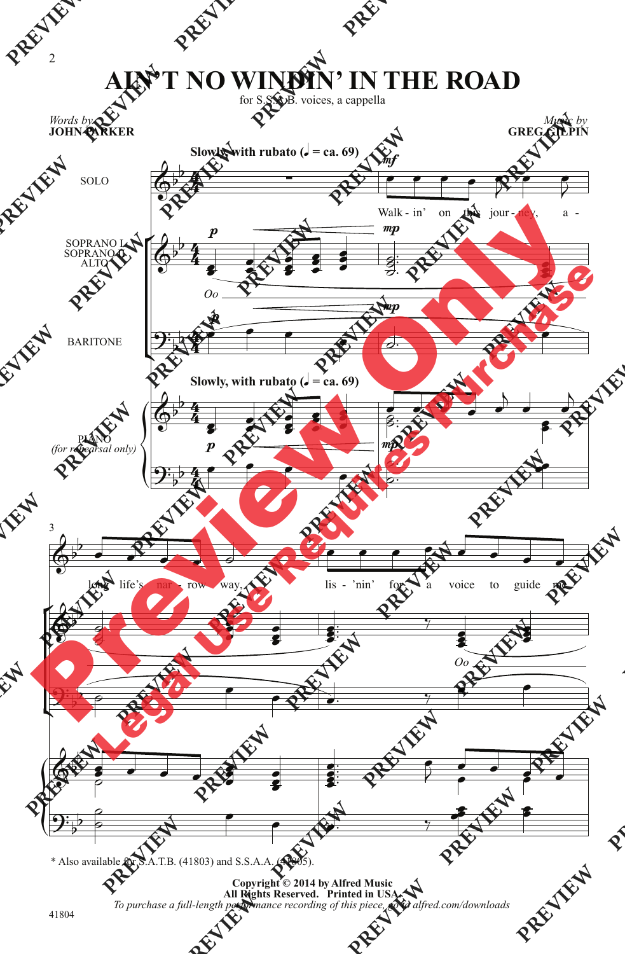## **AIN'T NO WINDIN' IN THE ROAD**

for S.S.A.B. voices, a cappella

*Music by* **GREG GILPIN**



\* Also available for S.A.T.B. (41803) and S.S.A.A. (41805).

**Copyright © 2014 by Alfred Music All Rights Reserved. Printed in USA.** *To purchase a full-length performance recording of this piece, go to alfred.com/downloads*

*Words by*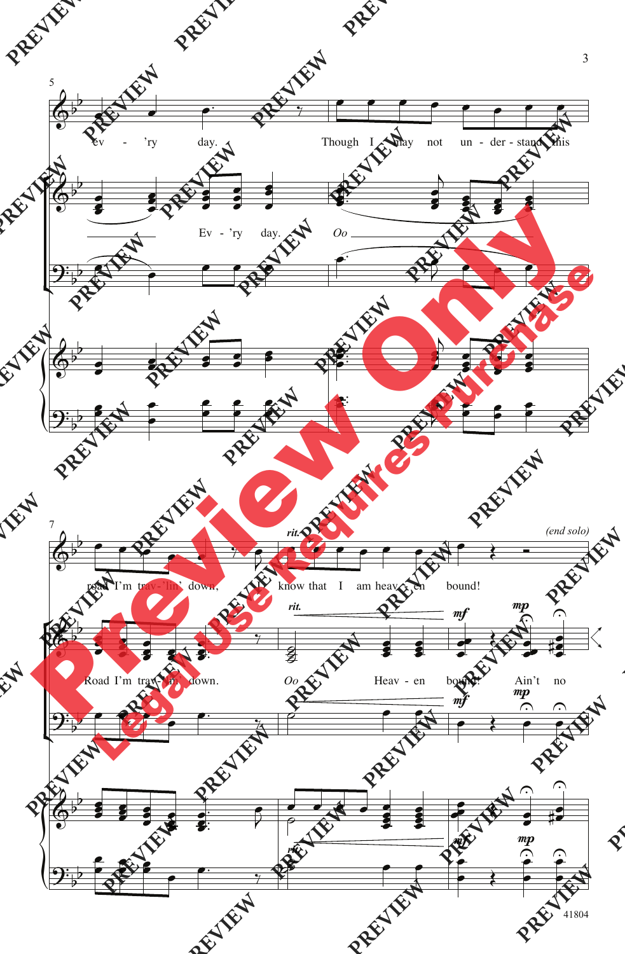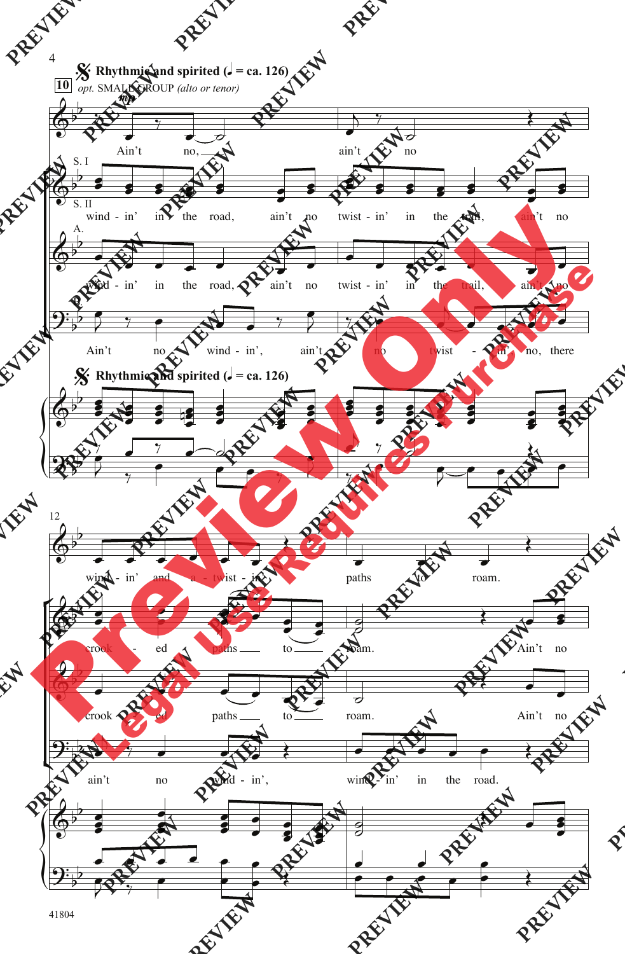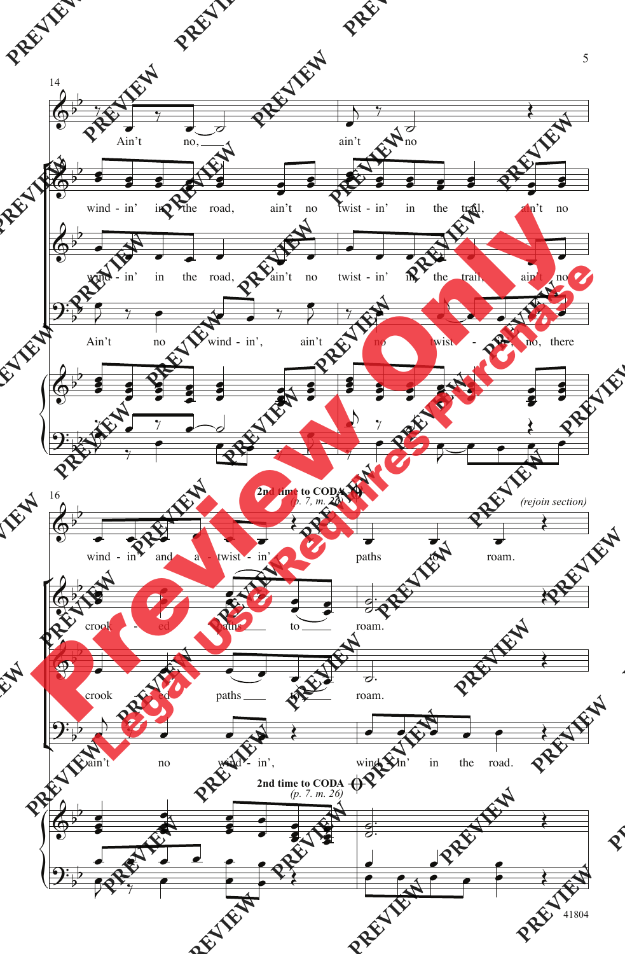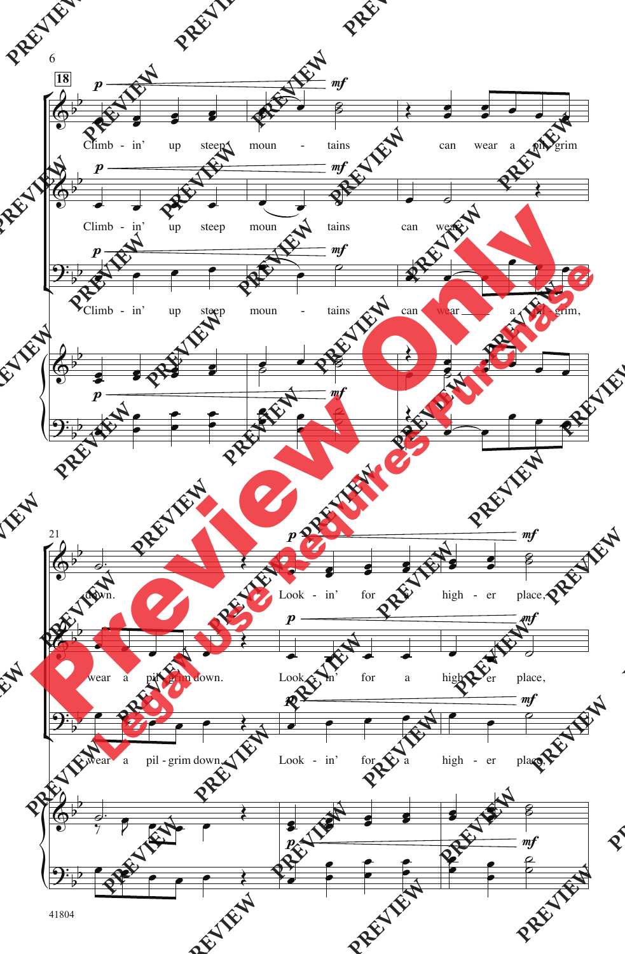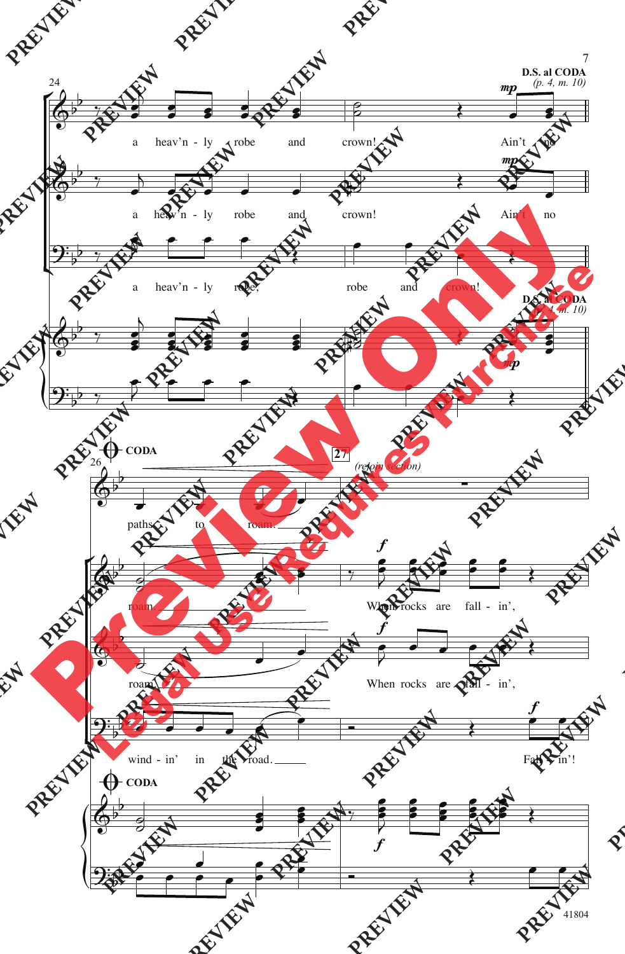

<sup>41804</sup>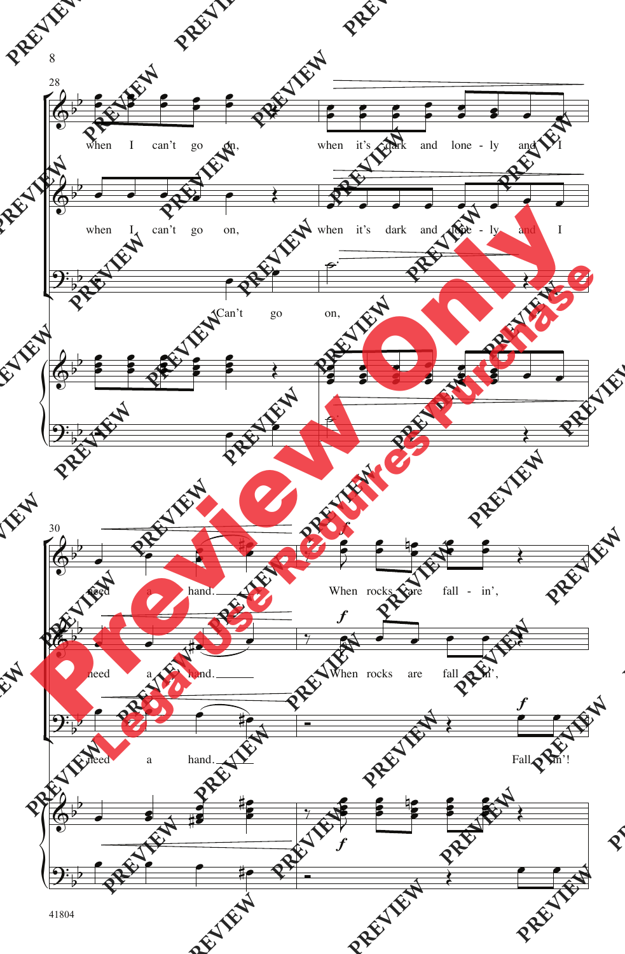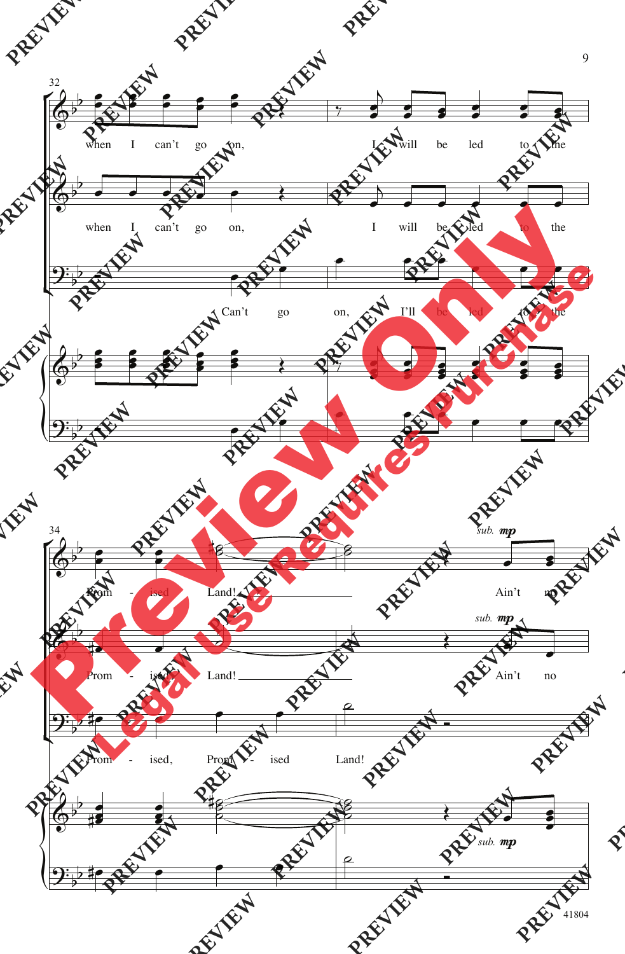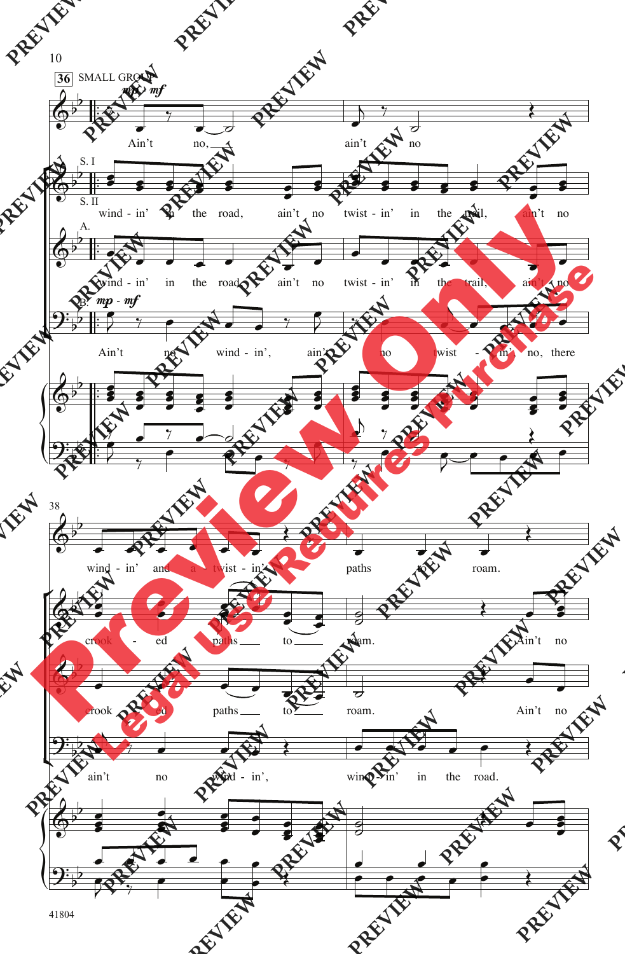

41804